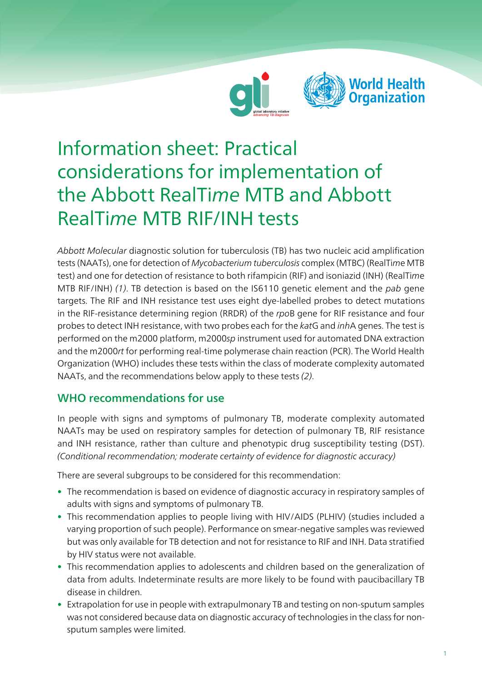



# Information sheet: Practical considerations for implementation of the Abbott RealTime MTB and Abbott RealTime MTB RIF/INH tests

Abbott Molecular diagnostic solution for tuberculosis (TB) has two nucleic acid amplification tests (NAATs), one for detection of Mycobacterium tuberculosis complex (MTBC) (RealTime MTB test) and one for detection of resistance to both rifampicin (RIF) and isoniazid (INH) (RealTime MTB RIF/INH) (1). TB detection is based on the IS6110 genetic element and the pab gene targets. The RIF and INH resistance test uses eight dye-labelled probes to detect mutations in the RIF-resistance determining region (RRDR) of the rpoB gene for RIF resistance and four probes to detect INH resistance, with two probes each for the katG and inhA genes. The test is performed on the m2000 platform, m2000sp instrument used for automated DNA extraction and the m2000rt for performing real-time polymerase chain reaction (PCR). The World Health Organization (WHO) includes these tests within the class of moderate complexity automated NAATs, and the recommendations below apply to these tests (2).

# WHO recommendations for use

In people with signs and symptoms of pulmonary TB, moderate complexity automated NAATs may be used on respiratory samples for detection of pulmonary TB, RIF resistance and INH resistance, rather than culture and phenotypic drug susceptibility testing (DST). (Conditional recommendation; moderate certainty of evidence for diagnostic accuracy)

There are several subgroups to be considered for this recommendation:

- The recommendation is based on evidence of diagnostic accuracy in respiratory samples of adults with signs and symptoms of pulmonary TB.
- This recommendation applies to people living with HIV/AIDS (PLHIV) (studies included a varying proportion of such people). Performance on smear-negative samples was reviewed but was only available for TB detection and not for resistance to RIF and INH. Data stratified by HIV status were not available.
- This recommendation applies to adolescents and children based on the generalization of data from adults. Indeterminate results are more likely to be found with paucibacillary TB disease in children.
- Extrapolation for use in people with extrapulmonary TB and testing on non-sputum samples was not considered because data on diagnostic accuracy of technologies in the class for nonsputum samples were limited.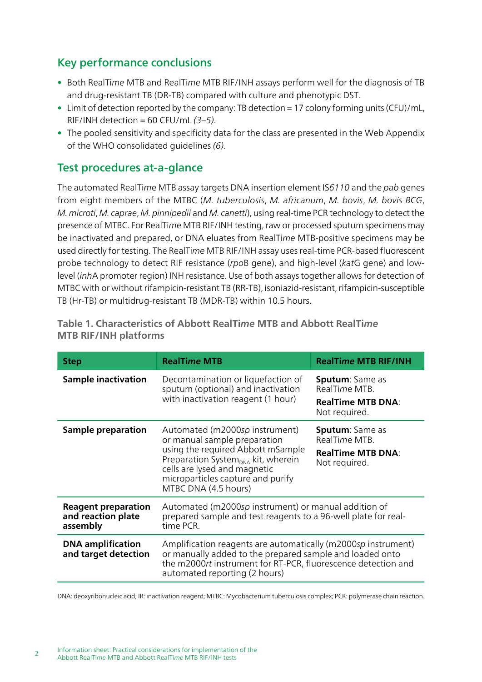# Key performance conclusions

- Both RealTime MTB and RealTime MTB RIF/INH assays perform well for the diagnosis of TB and drug-resistant TB (DR-TB) compared with culture and phenotypic DST.
- Limit of detection reported by the company: TB detection = 17 colony forming units (CFU)/mL, RIF/INH detection = 60 CFU/mL  $(3-5)$ .
- The pooled sensitivity and specificity data for the class are presented in the Web Appendix of the WHO consolidated guidelines (6).

### Test procedures at-a-glance

The automated RealTime MTB assay targets DNA insertion element IS6110 and the pab genes from eight members of the MTBC (M. tuberculosis, M. africanum, M. bovis, M. bovis BCG, M. microti, M. caprae, M. pinnipedii and M. canetti), using real-time PCR technology to detect the presence of MTBC. For RealTime MTB RIF/INH testing, raw or processed sputum specimens may be inactivated and prepared, or DNA eluates from RealTime MTB-positive specimens may be used directly for testing. The RealTime MTB RIF/INH assay uses real-time PCR-based fluorescent probe technology to detect RIF resistance (rpoB gene), and high-level (katG gene) and lowlevel (inhA promoter region) INH resistance. Use of both assays together allows for detection of MTBC with or without rifampicin-resistant TB (RR-TB), isoniazid-resistant, rifampicin-susceptible TB (Hr-TB) or multidrug-resistant TB (MDR-TB) within 10.5 hours.

| <b>Step</b>                                                  | <b>RealTime MTB</b>                                                                                                                                                                                                                                | <b>RealTime MTB RIF/INH</b>                                                          |
|--------------------------------------------------------------|----------------------------------------------------------------------------------------------------------------------------------------------------------------------------------------------------------------------------------------------------|--------------------------------------------------------------------------------------|
| <b>Sample inactivation</b>                                   | Decontamination or liquefaction of<br>sputum (optional) and inactivation<br>with inactivation reagent (1 hour)                                                                                                                                     | <b>Sputum:</b> Same as<br>RealTime MTB.<br><b>RealTime MTB DNA:</b><br>Not required. |
| Sample preparation                                           | Automated (m2000sp instrument)<br>or manual sample preparation<br>using the required Abbott mSample<br>Preparation System <sub>DNA</sub> kit, wherein<br>cells are lysed and magnetic<br>microparticles capture and purify<br>MTBC DNA (4.5 hours) | <b>Sputum:</b> Same as<br>RealTime MTB.<br><b>RealTime MTB DNA:</b><br>Not required. |
| <b>Reagent preparation</b><br>and reaction plate<br>assembly | Automated (m2000sp instrument) or manual addition of<br>prepared sample and test reagents to a 96-well plate for real-<br>time PCR.                                                                                                                |                                                                                      |
| <b>DNA</b> amplification<br>and target detection             | Amplification reagents are automatically (m2000sp instrument)<br>or manually added to the prepared sample and loaded onto<br>the m2000rt instrument for RT-PCR, fluorescence detection and<br>automated reporting (2 hours)                        |                                                                                      |

Table 1. Characteristics of Abbott RealTime MTB and Abbott RealTime MTB RIF/INH platforms

DNA: deoxyribonucleic acid; IR: inactivation reagent; MTBC: Mycobacterium tuberculosis complex; PCR: polymerase chain reaction.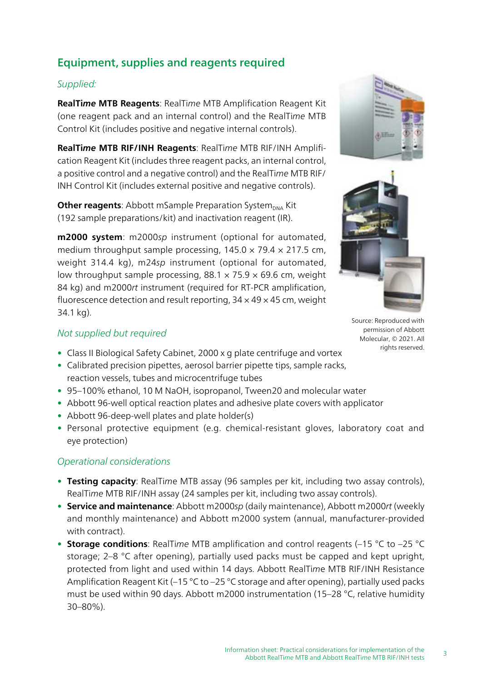# Equipment, supplies and reagents required

#### Supplied:

RealTime MTB Reagents: RealTime MTB Amplification Reagent Kit (one reagent pack and an internal control) and the RealTime MTB Control Kit (includes positive and negative internal controls).

RealTime MTB RIF/INH Reagents: RealTime MTB RIF/INH Amplification Reagent Kit (includes three reagent packs, an internal control, a positive control and a negative control) and the RealTime MTB RIF/ INH Control Kit (includes external positive and negative controls).

Other reagents: Abbott mSample Preparation System<sub>DNA</sub> Kit (192 sample preparations/kit) and inactivation reagent (IR).

m2000 system: m2000sp instrument (optional for automated, medium throughput sample processing,  $145.0 \times 79.4 \times 217.5$  cm, weight 314.4 kg), m24sp instrument (optional for automated, low throughput sample processing,  $88.1 \times 75.9 \times 69.6$  cm, weight 84 kg) and m2000rt instrument (required for RT-PCR amplification, fluorescence detection and result reporting,  $34 \times 49 \times 45$  cm, weight 34.1 kg).





Source: Reproduced with permission of Abbott Molecular, © 2021. All rights reserved.

#### Not supplied but required

- Class II Biological Safety Cabinet, 2000 x g plate centrifuge and vortex
- Calibrated precision pipettes, aerosol barrier pipette tips, sample racks, reaction vessels, tubes and microcentrifuge tubes
- 95–100% ethanol, 10 M NaOH, isopropanol, Tween20 and molecular water
- Abbott 96-well optical reaction plates and adhesive plate covers with applicator
- Abbott 96-deep-well plates and plate holder(s)
- Personal protective equipment (e.g. chemical-resistant gloves, laboratory coat and eye protection)

#### Operational considerations

- Testing capacity: RealTime MTB assay (96 samples per kit, including two assay controls), RealTime MTB RIF/INH assay (24 samples per kit, including two assay controls).
- Service and maintenance: Abbott m2000sp (daily maintenance), Abbott m2000rt (weekly and monthly maintenance) and Abbott m2000 system (annual, manufacturer-provided with contract).
- Storage conditions: RealTime MTB amplification and control reagents ( $-15$  °C to  $-25$  °C storage; 2–8 °C after opening), partially used packs must be capped and kept upright, protected from light and used within 14 days. Abbott RealTime MTB RIF/INH Resistance Amplification Reagent Kit (–15 °C to –25 °C storage and after opening), partially used packs must be used within 90 days. Abbott m2000 instrumentation (15–28 °C, relative humidity 30–80%).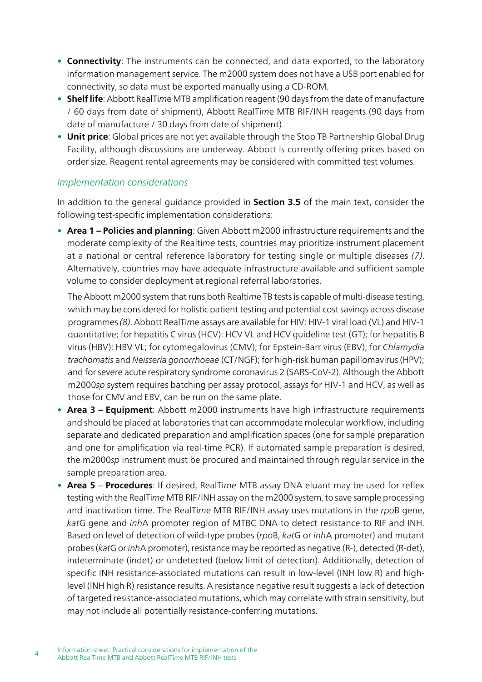- Connectivity: The instruments can be connected, and data exported, to the laboratory information management service. The m2000 system does not have a USB port enabled for connectivity, so data must be exported manually using a CD-ROM.
- Shelf life: Abbott RealTime MTB amplification reagent (90 days from the date of manufacture / 60 days from date of shipment), Abbott RealTime MTB RIF/INH reagents (90 days from date of manufacture / 30 days from date of shipment).
- Unit price: Global prices are not yet available through the Stop TB Partnership Global Drug Facility, although discussions are underway. Abbott is currently offering prices based on order size. Reagent rental agreements may be considered with committed test volumes.

#### Implementation considerations

In addition to the general guidance provided in **Section 3.5** of the main text, consider the following test-specific implementation considerations:

• Area 1 – Policies and planning: Given Abbott m2000 infrastructure requirements and the moderate complexity of the Realtime tests, countries may prioritize instrument placement at a national or central reference laboratory for testing single or multiple diseases (7). Alternatively, countries may have adequate infrastructure available and sufficient sample volume to consider deployment at regional referral laboratories.

The Abbott m2000 system that runs both Realtime TB tests is capable of multi-disease testing, which may be considered for holistic patient testing and potential cost savings across disease programmes (8). Abbott RealTime assays are available for HIV: HIV-1 viral load (VL) and HIV-1 quantitative; for hepatitis C virus (HCV): HCV VL and HCV guideline test (GT); for hepatitis B virus (HBV): HBV VL; for cytomegalovirus (CMV); for Epstein-Barr virus (EBV); for Chlamydia trachomatis and Neisseria gonorrhoeae (CT/NGF); for high-risk human papillomavirus (HPV); and for severe acute respiratory syndrome coronavirus 2 (SARS-CoV-2). Although the Abbott m2000sp system requires batching per assay protocol, assays for HIV-1 and HCV, as well as those for CMV and EBV, can be run on the same plate.

- Area 3 Equipment: Abbott m2000 instruments have high infrastructure requirements and should be placed at laboratories that can accommodate molecular workflow, including separate and dedicated preparation and amplification spaces (one for sample preparation and one for amplification via real-time PCR). If automated sample preparation is desired, the m2000sp instrument must be procured and maintained through regular service in the sample preparation area.
- Area 5 Procedures: If desired, RealTime MTB assay DNA eluant may be used for reflex testing with the RealTime MTB RIF/INH assay on the m2000 system, to save sample processing and inactivation time. The RealTime MTB RIF/INH assay uses mutations in the rpoB gene, katG gene and inhA promoter region of MTBC DNA to detect resistance to RIF and INH. Based on level of detection of wild-type probes (rpoB, katG or inhA promoter) and mutant probes (katG or inhA promoter), resistance may be reported as negative (R-), detected (R-det), indeterminate (indet) or undetected (below limit of detection). Additionally, detection of specific INH resistance-associated mutations can result in low-level (INH low R) and highlevel (INH high R) resistance results. A resistance negative result suggests a lack of detection of targeted resistance-associated mutations, which may correlate with strain sensitivity, but may not include all potentially resistance-conferring mutations.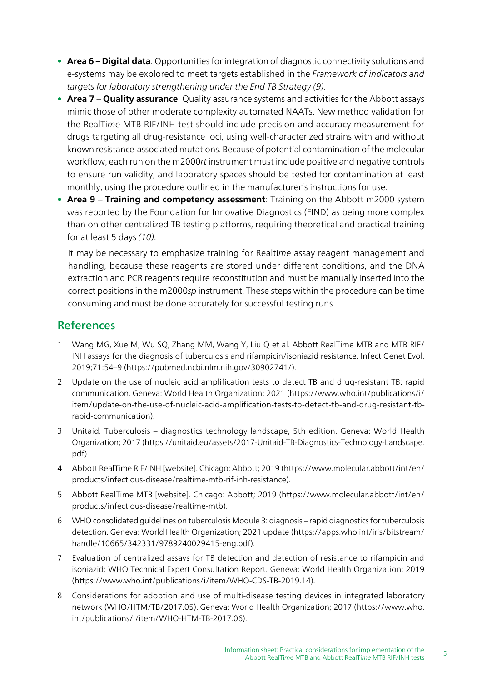- Area 6 Digital data: Opportunities for integration of diagnostic connectivity solutions and e-systems may be explored to meet targets established in the Framework of indicators and targets for laboratory strengthening under the End TB Strategy (9).
- Area 7 Quality assurance: Quality assurance systems and activities for the Abbott assays mimic those of other moderate complexity automated NAATs. New method validation for the RealTime MTB RIF/INH test should include precision and accuracy measurement for drugs targeting all drug-resistance loci, using well-characterized strains with and without known resistance-associated mutations. Because of potential contamination of the molecular workflow, each run on the m2000rt instrument must include positive and negative controls to ensure run validity, and laboratory spaces should be tested for contamination at least monthly, using the procedure outlined in the manufacturer's instructions for use.
- Area 9 Training and competency assessment: Training on the Abbott m2000 system was reported by the Foundation for Innovative Diagnostics (FIND) as being more complex than on other centralized TB testing platforms, requiring theoretical and practical training for at least 5 days (10).

It may be necessary to emphasize training for Realtime assay reagent management and handling, because these reagents are stored under different conditions, and the DNA extraction and PCR reagents require reconstitution and must be manually inserted into the correct positions in the m2000sp instrument. These steps within the procedure can be time consuming and must be done accurately for successful testing runs.

# References

- 1 Wang MG, Xue M, Wu SQ, Zhang MM, Wang Y, Liu Q et al. Abbott RealTime MTB and MTB RIF/ INH assays for the diagnosis of tuberculosis and rifampicin/isoniazid resistance. Infect Genet Evol. 2019;71:54–9 (https://pubmed.ncbi.nlm.nih.gov/30902741/).
- 2 Update on the use of nucleic acid amplification tests to detect TB and drug-resistant TB: rapid communication. Geneva: World Health Organization; 2021 ([https://www.who.int/publications/i/](https://www.who.int/publications/i/item/update-on-the-use-of-nucleic-acid-amplification-tests-to-detect-tb-and-drug-resistant-tb-rapid-communication) [item/update-on-the-use-of-nucleic-acid-amplification-tests-to-detect-tb-and-drug-resistant-tb](https://www.who.int/publications/i/item/update-on-the-use-of-nucleic-acid-amplification-tests-to-detect-tb-and-drug-resistant-tb-rapid-communication)[rapid-communication\)](https://www.who.int/publications/i/item/update-on-the-use-of-nucleic-acid-amplification-tests-to-detect-tb-and-drug-resistant-tb-rapid-communication).
- 3 Unitaid. Tuberculosis diagnostics technology landscape, 5th edition. Geneva: World Health Organization; 2017 (https://unitaid.eu/assets/2017-Unitaid-TB-Diagnostics-Technology-Landscape. pdf).
- 4 Abbott RealTime RIF/INH [website]. Chicago: Abbott; 2019 (https://www.molecular.abbott/int/en/ products/infectious-disease/realtime-mtb-rif-inh-resistance).
- 5 Abbott RealTime MTB [website]. Chicago: Abbott; 2019 (https://www.molecular.abbott/int/en/ products/infectious-disease/realtime-mtb).
- 6 WHO consolidated guidelines on tuberculosis Module 3: diagnosis rapid diagnostics for tuberculosis detection. Geneva: World Health Organization; 2021 update ([https://apps.who.int/iris/bitstream/](https://apps.who.int/iris/bitstream/handle/10665/342331/9789240029415-eng.pdf) [handle/10665/342331/9789240029415-eng.pdf](https://apps.who.int/iris/bitstream/handle/10665/342331/9789240029415-eng.pdf)).
- 7 Evaluation of centralized assays for TB detection and detection of resistance to rifampicin and isoniazid: WHO Technical Expert Consultation Report. Geneva: World Health Organization; 2019 (https://www.who.int/publications/i/item/WHO-CDS-TB-2019.14).
- 8 Considerations for adoption and use of multi-disease testing devices in integrated laboratory network (WHO/HTM/TB/2017.05). Geneva: World Health Organization; 2017 [\(https://www.who.](https://www.who.int/publications/i/item/WHO-HTM-TB-2017.06) [int/publications/i/item/WHO-HTM-TB-2017.06\)](https://www.who.int/publications/i/item/WHO-HTM-TB-2017.06).